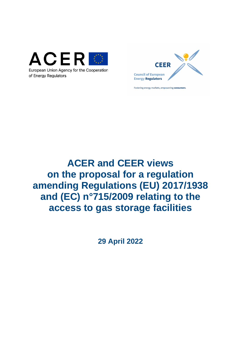



Fostering energy markets, empowering consumers.

# **ACER and CEER views on the proposal for a regulation amending Regulations (EU) 2017/1938 and (EC) n°715/2009 relating to the access to gas storage facilities**

**29 April 2022**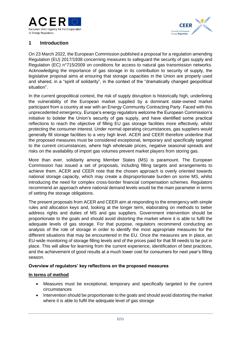



# **1 Introduction**

On 23 March 2022, the European Commission published a proposal for a regulation amending Regulation (EU) 2017/1938 concerning measures to safeguard the security of gas supply and Regulation (EC) n°715/2009 on conditions for access to natural gas transmission networks. Acknowledging the importance of gas storage in its contribution to security of supply, the legislative proposal aims at ensuring that storage capacities in the Union are properly used and shared, in a "spirit of solidarity", in the context of the "dramatically changed geopolitical situation".

In the current geopolitical context, the risk of supply disruption is historically high, underlining the vulnerability of the European market supplied by a dominant state-owned market participant from a country at war with an Energy Community Contracting Party. Faced with this unprecedented emergency, Europe's energy regulators welcome the European Commission's initiative to bolster the Union's security of gas supply, and have identified some practical reflections to reach the objective of filling EU gas storage facilities more effectively, whilst protecting the consumer interest. Under normal operating circumstances, gas suppliers would generally fill storage facilities to a very high level. ACER and CEER therefore underline that the proposed measures must be considered exceptional, temporary and specifically targeted to the current circumstances, where high wholesale prices, negative seasonal spreads and risks on the availability of import gas volumes prevent market players from storing gas.

More than ever, solidarity among Member States (MS) is paramount. The European Commission has issued a set of proposals, including filling targets and arrangements to achieve them. ACER and CEER note that the chosen approach is overly oriented towards national storage capacity, which may create a disproportionate burden on some MS, whilst introducing the need for complex cross-border financial compensation schemes. Regulators recommend an approach where national demand levels would be the main parameter in terms of setting the storage obligations.

The present proposals from ACER and CEER aim at responding to the emergency with simple rules and allocation keys and, looking at the longer term, elaborating on methods to better address rights and duties of MS and gas suppliers. Government intervention should be proportionate to the goals and should avoid distorting the market where it is able to fulfil the adequate levels of gas storage. For that purpose, regulators recommend conducting an analysis of the role of storage in order to identify the most appropriate measures for the different situations that may be encountered in the EU. Once the measures are in place, an EU-wide monitoring of storage filling levels and of the prices paid for that fill needs to be put in place. This will allow for learning from the current experience, identification of best practices, and the achievement of good results at a much lower cost for consumers for next year's filling season.

## **Overview of regulators' key reflections on the proposed measures**

#### **In terms of method**

- Measures must be exceptional, temporary and specifically targeted to the current circumstances
- Intervention should be proportionate to the goals and should avoid distorting the market where it is able to fulfil the adequate level of gas storage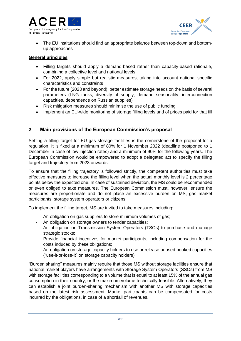



• The EU institutions should find an appropriate balance between top-down and bottomup approaches

### **General principles**

- Filling targets should apply a demand-based rather than capacity-based rationale, combining a collective level and national levels
- For 2022, apply simple but realistic measures, taking into account national specific characteristics and constraints
- For the future (2023 and beyond): better estimate storage needs on the basis of several parameters (LNG tanks, diversity of supply, demand seasonality, interconnection capacities, dependence on Russian supplies)
- Risk mitigation measures should minimise the use of public funding
- Implement an EU-wide monitoring of storage filling levels and of prices paid for that fill

## **2 Main provisions of the European Commission's proposal**

Setting a filling target for EU gas storage facilities is the cornerstone of the proposal for a regulation. It is fixed at a minimum of 80% for 1 November 2022 (deadline postponed to 1 December in case of low injection rates) and a minimum of 90% for the following years. The European Commission would be empowered to adopt a delegated act to specify the filling target and trajectory from 2023 onwards.

To ensure that the filling trajectory is followed strictly, the competent authorities must take effective measures to increase the filling level when the actual monthly level is 2 percentage points below the expected one. In case of sustained deviation, the MS could be recommended or even obliged to take measures. The European Commission must, however, ensure the measures are proportionate and do not place an excessive burden on MS, gas market participants, storage system operators or citizens.

To implement the filling target, MS are invited to take measures including:

- An obligation on gas suppliers to store minimum volumes of gas;
- An obligation on storage owners to tender capacities;
- An obligation on Transmission System Operators (TSOs) to purchase and manage strategic stocks:
- Provide financial incentives for market participants, including compensation for the costs induced by these obligations;
- An obligation on storage capacity holders to use or release unused booked capacities ("use-it-or-lose-it" on storage capacity holders).

"Burden sharing" measures mainly require that those MS without storage facilities ensure that national market players have arrangements with Storage System Operators (SSOs) from MS with storage facilities corresponding to a volume that is equal to at least 15% of the annual gas consumption in their country, or the maximum volume technically feasible. Alternatively, they can establish a joint burden-sharing mechanism with another MS with storage capacities based on the latest risk assessment. Market participants can be compensated for costs incurred by the obligations, in case of a shortfall of revenues.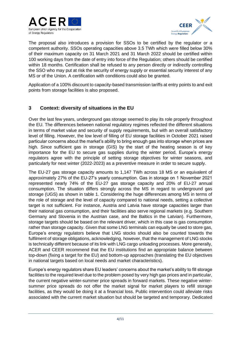



The proposal also introduces a provision for SSOs to be certified by the regulator or a competent authority. SSOs operating capacities above 3.5 TWh which were filled below 30% of their maximum capacity on 31 March 2021 and 31 March 2022 should be certified within 100 working days from the date of entry into force of the Regulation; others should be certified within 18 months. Certification shall be refused to any person directly or indirectly controlling the SSO who may put at risk the security of energy supply or essential security interest of any MS or of the Union. A certification with conditions could also be granted.

Application of a 100% discount to capacity-based transmission tariffs at entry points to and exit points from storage facilities is also proposed.

## **3 Context: diversity of situations in the EU**

Over the last few years, underground gas storage seemed to play its role properly throughout the EU. The differences between national regulatory regimes reflected the different situations in terms of market value and security of supply requirements, but with an overall satisfactory level of filling. However, the low level of filling of EU storage facilities in October 2021 raised particular concerns about the market's ability to bring enough gas into storage when prices are high. Since sufficient gas in storage (GIS) by the start of the heating season is of key importance for the EU to secure gas supplies during the winter period, Europe's energy regulators agree with the principle of setting storage objectives for winter seasons, and particularly for next winter (2022-2023) as a preventive measure in order to secure supply.

The EU-27 gas storage capacity amounts to 1,147 TWh across 18 MS or an equivalent of approximately 27% of the EU-27's yearly consumption. Gas in storage on 1 November 2021 represented nearly 74% of the EU-27 gas storage capacity and 20% of EU-27 annual consumption. The situation differs strongly across the MS in regard to underground gas storage (UGS) as shown in table 1. Considering the huge differences among MS in terms of the role of storage and the level of capacity compared to national needs, setting a collective target is not sufficient. For instance, Austria and Latvia have storage capacities larger than their national gas consumption, and their facilities also serve regional markets (e.g. Southern Germany and Slovenia in the Austrian case, and the Baltics in the Latvian). Furthermore, storage targets should be based on the relevant driver, which in this case is gas consumption rather than storage capacity. Given that some LNG terminals can equally be used to store gas, Europe's energy regulators believe that LNG stocks should also be counted towards the fulfilment of storage obligations, acknowledging, however, that the management of LNG stocks is technically different because of its link with LNG cargo unloading processes. More generally, ACER and CEER recommend that the EU institutions find an appropriate balance between top-down (fixing a target for the EU) and bottom-up approaches (translating the EU objectives in national targets based on local needs and market characteristics).

Europe's energy regulators share EU leaders' concerns about the market's ability to fill storage facilities to the required level due to the problem posed by very high gas prices and in particular, the current negative winter-summer price spreads in forward markets. These negative wintersummer price spreads do not offer the market signal for market players to refill storage facilities, as they would be doing it at a financial loss. Public intervention could alleviate risks associated with the current market situation but should be targeted and temporary. Dedicated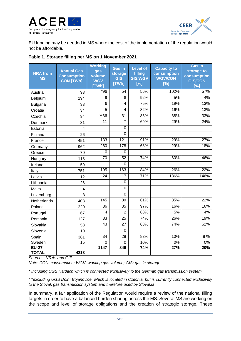



EU funding may be needed in MS where the cost of the implementation of the regulation would not be affordable.

|  |  | Table 1. Storage filling per MS on 1 November 2021 |  |
|--|--|----------------------------------------------------|--|
|  |  |                                                    |  |

| <b>NRA from</b><br><b>MS</b> | <b>Annual Gas</b><br><b>Consumption</b><br><b>CON [TWh]</b> | <b>Working</b><br>gas<br>volume<br><b>WGV</b><br>[TWh] | <b>Gas in</b><br>storage<br><b>GIS</b><br>[TWh] | <b>Level of</b><br>filling<br><b>GIS/WGV</b><br>[%] | <b>Capacity to</b><br>consumption<br><b>WGV/CON</b><br>[%] | <b>Gas in</b><br>storage to<br>consumption<br><b>GIS/CON</b><br>[%] |
|------------------------------|-------------------------------------------------------------|--------------------------------------------------------|-------------------------------------------------|-----------------------------------------------------|------------------------------------------------------------|---------------------------------------------------------------------|
| Austria                      | 93                                                          | $*96$                                                  | 54                                              | 56%                                                 | 102%                                                       | 57%                                                                 |
| Belgium                      | 194                                                         | 9                                                      | 8                                               | 92%                                                 | 5%                                                         | 4%                                                                  |
| <b>Bulgaria</b>              | 33                                                          | 6                                                      | 4                                               | 75%                                                 | 19%                                                        | 13%                                                                 |
| Croatia                      | 34                                                          | $\overline{5}$                                         | $\overline{4}$                                  | 82%                                                 | 16%                                                        | 13%                                                                 |
| Czechia                      | 94                                                          | $*36$                                                  | 31                                              | 86%                                                 | 38%                                                        | 33%                                                                 |
| Denmark                      | 31                                                          | 11                                                     | $\overline{7}$                                  | 69%                                                 | 29%                                                        | 24%                                                                 |
| Estonia                      | $\overline{4}$                                              |                                                        | $\overline{0}$                                  |                                                     |                                                            |                                                                     |
| Finland                      | 26                                                          |                                                        | 0                                               |                                                     |                                                            |                                                                     |
| France                       | 451                                                         | 133                                                    | 121                                             | 91%                                                 | 29%                                                        | 27%                                                                 |
| Germany                      | 962                                                         | 260                                                    | 178                                             | 68%                                                 | 29%                                                        | 18%                                                                 |
| Greece                       | 70                                                          | $\mathbf 0$                                            | 0                                               |                                                     |                                                            |                                                                     |
| Hungary                      | 113                                                         | 70                                                     | $\overline{52}$                                 | 74%                                                 | 60%                                                        | 46%                                                                 |
| Ireland                      | 59                                                          |                                                        | 0                                               |                                                     |                                                            |                                                                     |
| Italy                        | 751                                                         | 195                                                    | 163                                             | 84%                                                 | 26%                                                        | 22%                                                                 |
| Latvia                       | 12                                                          | 24                                                     | 17                                              | 71%                                                 | 186%                                                       | 146%                                                                |
| Lithuania                    | 26                                                          |                                                        | $\overline{0}$                                  |                                                     |                                                            |                                                                     |
| Malta                        | 4                                                           |                                                        | 0                                               |                                                     |                                                            |                                                                     |
| Luxemburg                    | 8                                                           |                                                        | $\overline{0}$                                  |                                                     |                                                            |                                                                     |
| Netherlands                  | 408                                                         | 145                                                    | 89                                              | 61%                                                 | 35%                                                        | 22%                                                                 |
| Poland                       | 220                                                         | 36                                                     | 35                                              | 97%                                                 | 16%                                                        | 16%                                                                 |
| Portugal                     | 67                                                          | $\overline{4}$                                         | $\overline{2}$                                  | 68%                                                 | 5%                                                         | 4%                                                                  |
| Romania                      | 127                                                         | 33                                                     | 25                                              | 74%                                                 | 26%                                                        | 19%                                                                 |
| Slovakia                     | 53                                                          | 43                                                     | 27                                              | 63%                                                 | 74%                                                        | 52%                                                                 |
| Slovenia                     | 10                                                          |                                                        | $\overline{0}$                                  |                                                     |                                                            |                                                                     |
| Spain                        | 361                                                         | $\overline{34}$                                        | $\overline{28}$                                 | 83%                                                 | 10%                                                        | 8%                                                                  |
| Sweden                       | 15                                                          | 0                                                      | 0                                               | 10%                                                 | 0%                                                         | 0%                                                                  |
| <b>EU-27</b><br><b>TOTAL</b> | 4218                                                        | 1147                                                   | 846                                             | 74%                                                 | 27%                                                        | 20%                                                                 |

*Sources: NRAs and GIE*

*Note: CON: consumption; WGV: working gas volume; GIS: gas in storage*

*\* Including UGS Haidach which is connected exclusively to the German gas transmission system*

*\** \**excluding UGS Dolní Bojanovice, which is located in Czechia, but is currently connected exclusively to the Slovak gas transmission system and therefore used by Slovakia*

In summary, a fair application of the Regulation would require a review of the national filling targets in order to have a balanced burden sharing across the MS. Several MS are working on the scope and level of storage obligations and the creation of strategic storage. These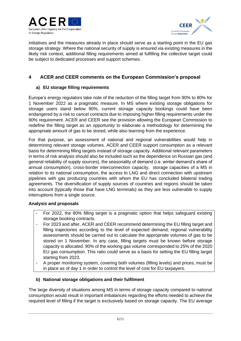



initiatives and the measures already in place should serve as a starting point in the EU gas storage strategy. Where the national security of supply is ensured via existing measures in the likely risk context, additional filling requirements aimed at fulfilling the collective target could be subject to dedicated processes and support schemes.

# **4 ACER and CEER comments on the European Commission's proposal**

## **a) EU storage filling requirements**

Europe's energy regulators take note of the reduction of the filling target from 90% to 80% for 1 November 2022 as a pragmatic measure. In MS where existing storage obligations for storage users stand below 90%, current storage capacity bookings could have been endangered by a risk to cancel contracts due to imposing higher filling requirements under the 90% requirement. ACER and CEER see the provision allowing the European Commission to redefine the filling target as an opportunity to elaborate a methodology for determining the appropriate amount of gas to be stored, while also learning from the experience.

For that purpose, an assessment of national and regional vulnerabilities would help in determining relevant storage volumes. ACER and CEER support consumption as a relevant basis for determining filling targets instead of storage capacity. Additional relevant parameters in terms of risk analysis should also be included such as the dependence on Russian gas (and general reliability of supply sources), the seasonality of demand (i.e. winter demand's share of annual consumption), cross-border interconnection capacity, storage capacities of a MS in relation to its national consumption, the access to LNG and direct connection with upstream pipelines with gas producing countries with whom the EU has concluded bilateral trading agreements. The diversification of supply sources of countries and regions should be taken into account (typically those that have LNG terminals) as they are less vulnerable to supply interruptions from a single source.

## **Analysis and proposals**

- For 2022, the 80% filling target is a pragmatic option that helps safeguard existing storage booking contracts.
- For 2023 and after, ACER and CEER recommend determining the EU filling target and filling trajectories according to the level of expected demand; regional vulnerability assessments should be carried out to calculate the appropriate volumes of gas to be stored on 1 November. In any case, filling targets must be known before storage capacity is allocated. 90% of the working gas volume corresponded to 25% of the 2020 EU gas consumption. This ratio could serve as a basis for setting the EU filling target starting from 2023.
- A proper monitoring system, covering both volumes (filling levels) and prices, must be in place as of day 1 in order to control the level of cost for EU taxpayers.

## **b) National storage obligations and their fulfilment**

The large diversity of situations among MS in terms of storage capacity compared to national consumption would result in important imbalances regarding the efforts needed to achieve the required level of filling if the target is exclusively based on storage capacity. The EU average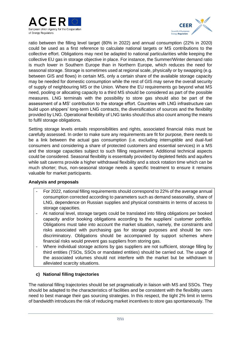



ratio between the filling level target (80% in 2022) and annual consumption (22% in 2020) could be used as a first reference to calculate national targets or MS contributions to the collective effort. Obligations may next be adapted to national particularities while keeping the collective EU gas in storage objective in place. For instance, the Summer/Winter demand ratio is much lower in Southern Europe than in Northern Europe, which reduces the need for seasonal storage. Storage is sometimes used at regional scale, physically or by swapping (e.g. between GIS and flows) in certain MS, only a certain share of the available storage capacity may be needed for domestic consumption while the rest of GIS may serve the overall security of supply of neighbouring MS or the Union. Where the EU requirements go beyond what MS need, pooling or allocating capacity to a third MS should be considered as part of the possible measures. LNG terminals with the possibility to store gas should also be part of the assessment of a MS' contribution to the storage effort. Countries with LNG infrastructure can build upon shippers' long-term LNG contracts, the diversification of sources and the flexibility provided by LNG. Operational flexibility of LNG tanks should thus also count among the means to fulfil storage obligations.

Setting storage levels entails responsibilities and rights, associated financial risks must be carefully assessed. In order to make sure any requirements are fit for purpose, there needs to be a link between the actual gas consumption (i.e. excluding interruptible and dual-fuel consumers and considering a share of protected customers and essential services) in a MS and the storage capacities subject to such filling requirement. Additional technical aspects could be considered. Seasonal flexibility is essentially provided by depleted fields and aquifers while salt caverns provide a higher withdrawal flexibility and a stock rotation time which can be much shorter; thus, non-seasonal storage needs a specific treatment to ensure it remains valuable for market participants.

## **Analysis and proposals**

- For 2022, national filling requirements should correspond to 22% of the average annual consumption corrected according to parameters such as demand seasonality, share of LNG, dependence on Russian supplies and physical constraints in terms of access to storage capacities.
- At national level, storage targets could be translated into filling obligations per booked capacity and/or booking obligations according to the suppliers' customer portfolio. Obligations must take into account the market situation, namely, the constraints and risks associated with purchasing gas for storage purposes and should be nondiscriminatory. Obligations should be accompanied by support schemes where financial risks would prevent gas suppliers from storing gas.
- Where individual storage actions by gas suppliers are not sufficient, storage filling by third entities (TSOs, SSOs or mandated entities) should be carried out. The usage of the associated volumes should not interfere with the market but be withdrawn to alleviated scarcity situations.

## **c) National filling trajectories**

The national filling trajectories should be set pragmatically in liaison with MS and SSOs. They should be adapted to the characteristics of facilities and be consistent with the flexibility users need to best manage their gas sourcing strategies. In this respect, the tight 2% limit in terms of bandwidth introduces the risk of reducing market incentives to store gas spontaneously. The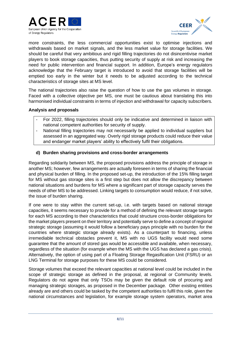



more constraints, the less commercial opportunities exist to optimise injections and withdrawals based on market signals, and the less market value for storage facilities. We should be careful that very ambitious and rigid filling trajectories do not disincentivise market players to book storage capacities, thus putting security of supply at risk and increasing the need for public intervention and financial support. In addition, Europe's energy regulators acknowledge that the February target is introduced to avoid that storage facilities will be emptied too early in the winter but it needs to be adjusted according to the technical characteristics of storage sites at MS level.

The national trajectories also raise the question of how to use the gas volumes in storage. Faced with a collective objective per MS, one must be cautious about translating this into harmonised individual constraints in terms of injection and withdrawal for capacity subscribers.

#### **Analysis and proposals**

- For 2022, filling trajectories should only be indicative and determined in liaison with national competent authorities for security of supply.
- National filling trajectories may not necessarily be applied to individual suppliers but assessed in an aggregated way. Overly rigid storage products could reduce their value and endanger market players' ability to effectively fulfil their obligations.

## **d) Burden sharing provisions and cross-border arrangements**

Regarding solidarity between MS, the proposed provisions address the principle of storage in another MS; however, few arrangements are actually foreseen in terms of sharing the financial and physical burden of filling. In the proposed set-up, the introduction of the 15% filling target for MS without gas storage sites is a first step but does not allow the discrepancy between national situations and burdens for MS where a significant part of storage capacity serves the needs of other MS to be addressed. Linking targets to consumption would reduce, if not solve, the issue of burden sharing.

If one were to stay within the current set-up, i.e. with targets based on national storage capacities, it seems necessary to provide for a method of defining the relevant storage targets for each MS according to their characteristics that could structure cross-border obligations for the market players present on their territory and potentially serve to define a concept of regional strategic storage (assuming it would follow a beneficiary pays principle with no burden for the countries where strategic storage already exists). As a counterpart to financing, unless irremediable technical obstacles prevent it, MS with no UGS facility would need some guarantee that the amount of stored gas would be accessible and available, when necessary, regardless of the situation (for example when the MS with the UGS has declared a gas crisis). Alternatively, the option of using part of a Floating Storage Regasification Unit (FSRU) or an LNG Terminal for storage purposes for these MS could be considered.

Storage volumes that exceed the relevant capacities at national level could be included in the scope of strategic storage as defined in the proposal, at regional or Community levels. Regulators do not agree that only TSOs may be given the default role of procuring and managing strategic storages, as proposed in the December package. Other existing entities already are and others could be tasked by the competent authorities to fulfil this role, given the national circumstances and legislation, for example storage system operators, market area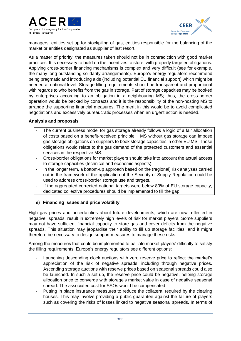



managers, entities set up for stockpiling of gas, entities responsible for the balancing of the market or entities designated as supplier of last resort.

As a matter of priority, the measures taken should not be in contradiction with good market practices. It is necessary to build on the incentives to store, with properly targeted obligations. Applying cross-border financing mechanisms is complex and very difficult (see for example, the many long-outstanding solidarity arrangements). Europe's energy regulators recommend being pragmatic and introducing aids (including potential EU financial support) which might be needed at national level. Storage filling requirements should be transparent and proportional with regards to who benefits from the gas in storage. Part of storage capacities may be booked by enterprises according to an obligation in a neighbouring MS; thus, the cross-border operation would be backed by contracts and it is the responsibility of the non-hosting MS to arrange the supporting financial measures. The merit in this would be to avoid complicated negotiations and excessively bureaucratic processes when an urgent action is needed.

#### **Analysis and proposals**

- The current business model for gas storage already follows a logic of a fair allocation of costs based on a benefit-received principle. MS without gas storage can impose gas storage obligations on suppliers to book storage capacities in other EU MS. Those obligations would relate to the gas demand of the protected customers and essential services in the respective MS.
- Cross-border obligations for market players should take into account the actual access to storage capacities (technical and economic aspects).
- In the longer term, a bottom-up approach based on the (regional) risk analyses carried out in the framework of the application of the Security of Supply Regulation could be used to address cross-border storage use and targets.
- If the aggregated corrected national targets were below 80% of EU storage capacity, dedicated collective procedures should be implemented to fill the gap

## **e) Financing issues and price volatility**

High gas prices and uncertainties about future developments, which are now reflected in negative spreads, result in extremely high levels of risk for market players. Some suppliers may not have sufficient financial capacity to store gas and cover deficits from the negative spreads. This situation may jeopardise their ability to fill up storage facilities, and it might therefore be necessary to design support measures to manage these risks.

Among the measures that could be implemented to palliate market players' difficulty to satisfy the filling requirements, Europe's energy regulators see different options:

- Launching descending clock auctions with zero reserve price to reflect the market's appreciation of the risk of negative spreads, including through negative prices. Ascending storage auctions with reserve prices based on seasonal spreads could also be launched. In such a set-up, the reserve price could be negative, helping storage allocation price to converge with storage's market value in case of negative seasonal spread. The associated cost for SSOs would be compensated.
- Putting in place insurance measures to reduce the collateral required by the clearing houses. This may involve providing a public guarantee against the failure of players such as covering the risks of losses linked to negative seasonal spreads. In terms of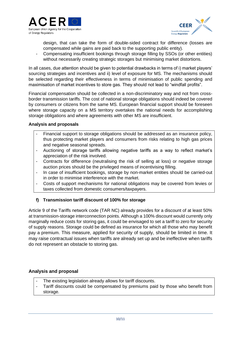



design, that can take the form of double-sided contract for difference (losses are compensated while gains are paid back to the supporting public entity).

Compensating insufficient bookings through storage filling by SSOs (or other entities) without necessarily creating strategic storages but minimising market distortions.

In all cases, due attention should be given to potential drawbacks in terms of i) market players' sourcing strategies and incentives and ii) level of exposure for MS. The mechanisms should be selected regarding their effectiveness in terms of minimisation of public spending and maximisation of market incentives to store gas. They should not lead to "windfall profits".

Financial compensation should be collected in a non-discriminatory way and not from crossborder transmission tariffs. The cost of national storage obligations should indeed be covered by consumers or citizens from the same MS. European financial support should be foreseen where storage capacity on a MS territory overtakes the national needs for accomplishing storage obligations and where agreements with other MS are insufficient.

## **Analysis and proposals**

- Financial support to storage obligations should be addressed as an insurance policy, thus protecting market players and consumers from risks relating to high gas prices and negative seasonal spreads.
- Auctioning of storage tariffs allowing negative tariffs as a way to reflect market's appreciation of the risk involved.
- Contracts for difference (neutralising the risk of selling at loss) or negative storage auction prices should be the privileged means of incentivising filling.
- In case of insufficient bookings, storage by non-market entities should be carried-out in order to minimise interference with the market.
- Costs of support mechanisms for national obligations may be covered from levies or taxes collected from domestic consumers/taxpayers.

## **f) Transmission tariff discount of 100% for storage**

Article 9 of the Tariffs network code (TAR NC) already provides for a discount of at least 50% at transmission-storage interconnection points. Although a 100% discount would currently only marginally reduce costs for storing gas, it could be envisaged to set a tariff to zero for security of supply reasons. Storage could be defined as insurance for which all those who may benefit pay a premium. This measure, applied for security of supply, should be limited in time. It may raise contractual issues when tariffs are already set up and be ineffective when tariffs do not represent an obstacle to storing gas.

## **Analysis and proposal**

- The existing legislation already allows for tariff discounts.
- Tariff discounts could be compensated by premiums paid by those who benefit from storage.